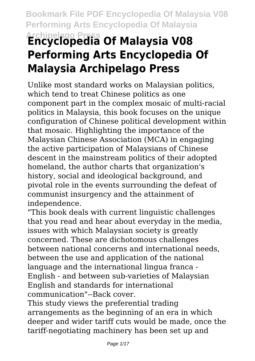# **Archipelago Press Encyclopedia Of Malaysia V08 Performing Arts Encyclopedia Of Malaysia Archipelago Press**

Unlike most standard works on Malaysian politics, which tend to treat Chinese politics as one component part in the complex mosaic of multi-racial politics in Malaysia, this book focuses on the unique configuration of Chinese political development within that mosaic. Highlighting the importance of the Malaysian Chinese Association (MCA) in engaging the active participation of Malaysians of Chinese descent in the mainstream politics of their adopted homeland, the author charts that organization's history, social and ideological background, and pivotal role in the events surrounding the defeat of communist insurgency and the attainment of independence.

"This book deals with current linguistic challenges that you read and hear about everyday in the media, issues with which Malaysian society is greatly concerned. These are dichotomous challenges between national concerns and international needs, between the use and application of the national language and the international lingua franca - English - and between sub-varieties of Malaysian English and standards for international communication"--Back cover.

This study views the preferential trading arrangements as the beginning of an era in which deeper and wider tariff cuts would be made, once the tariff-negotiating machinery has been set up and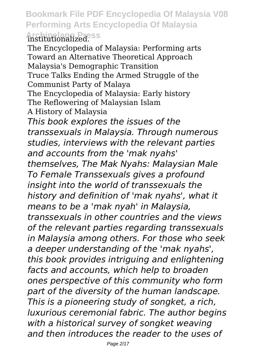**Bookmark File PDF Encyclopedia Of Malaysia V08 Performing Arts Encyclopedia Of Malaysia Archipelago Press** institutionalized.

The Encyclopedia of Malaysia: Performing arts Toward an Alternative Theoretical Approach Malaysia's Demographic Transition Truce Talks Ending the Armed Struggle of the Communist Party of Malaya The Encyclopedia of Malaysia: Early history The Reflowering of Malaysian Islam A History of Malaysia *This book explores the issues of the transsexuals in Malaysia. Through numerous studies, interviews with the relevant parties and accounts from the 'mak nyahs' themselves, The Mak Nyahs: Malaysian Male To Female Transsexuals gives a profound insight into the world of transsexuals the history and definition of 'mak nyahs', what it means to be a 'mak nyah' in Malaysia, transsexuals in other countries and the views of the relevant parties regarding transsexuals in Malaysia among others. For those who seek a deeper understanding of the 'mak nyahs', this book provides intriguing and enlightening facts and accounts, which help to broaden ones perspective of this community who form part of the diversity of the human landscape. This is a pioneering study of songket, a rich, luxurious ceremonial fabric. The author begins with a historical survey of songket weaving and then introduces the reader to the uses of*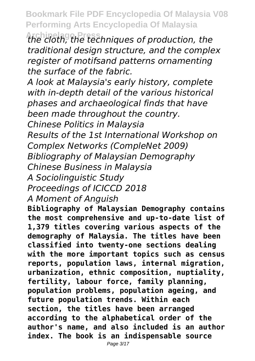**Archipelago Press** *the cloth, the techniques of production, the traditional design structure, and the complex register of motifsand patterns ornamenting the surface of the fabric.*

*A look at Malaysia's early history, complete with in-depth detail of the various historical phases and archaeological finds that have been made throughout the country.*

*Chinese Politics in Malaysia*

*Results of the 1st International Workshop on Complex Networks (CompleNet 2009) Bibliography of Malaysian Demography Chinese Business in Malaysia*

*A Sociolinguistic Study*

*Proceedings of ICICCD 2018*

*A Moment of Anguish*

**Bibliography of Malaysian Demography contains the most comprehensive and up-to-date list of 1,379 titles covering various aspects of the demography of Malaysia. The titles have been classified into twenty-one sections dealing with the more important topics such as census reports, population laws, internal migration, urbanization, ethnic composition, nuptiality, fertility, labour force, family planning, population problems, population ageing, and future population trends. Within each section, the titles have been arranged according to the alphabetical order of the author's name, and also included is an author index. The book is an indispensable source**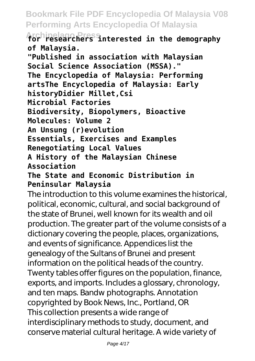**Archipelago Press for researchers interested in the demography of Malaysia.**

**"Published in association with Malaysian Social Science Association (MSSA)." The Encyclopedia of Malaysia: Performing artsThe Encyclopedia of Malaysia: Early historyDidier Millet,Csi Microbial Factories Biodiversity, Biopolymers, Bioactive Molecules: Volume 2 An Unsung (r)evolution Essentials, Exercises and Examples Renegotiating Local Values A History of the Malaysian Chinese Association**

**The State and Economic Distribution in Peninsular Malaysia**

The introduction to this volume examines the historical, political, economic, cultural, and social background of the state of Brunei, well known for its wealth and oil production. The greater part of the volume consists of a dictionary covering the people, places, organizations, and events of significance. Appendices list the genealogy of the Sultans of Brunei and present information on the political heads of the country. Twenty tables offer figures on the population, finance, exports, and imports. Includes a glossary, chronology, and ten maps. Bandw photographs. Annotation copyrighted by Book News, Inc., Portland, OR This collection presents a wide range of interdisciplinary methods to study, document, and conserve material cultural heritage. A wide variety of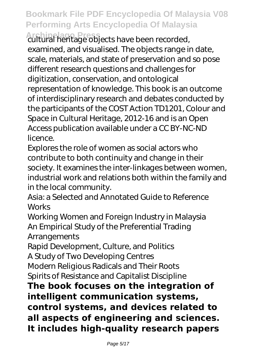**Archipelago Press** cultural heritage objects have been recorded, examined, and visualised. The objects range in date, scale, materials, and state of preservation and so pose different research questions and challenges for digitization, conservation, and ontological representation of knowledge. This book is an outcome of interdisciplinary research and debates conducted by the participants of the COST Action TD1201, Colour and Space in Cultural Heritage, 2012-16 and is an Open Access publication available under a CC BY-NC-ND licence.

Explores the role of women as social actors who contribute to both continuity and change in their society. It examines the inter-linkages between women, industrial work and relations both within the family and in the local community.

Asia: a Selected and Annotated Guide to Reference **Works** 

Working Women and Foreign Industry in Malaysia An Empirical Study of the Preferential Trading **Arrangements** 

Rapid Development, Culture, and Politics A Study of Two Developing Centres

Modern Religious Radicals and Their Roots Spirits of Resistance and Capitalist Discipline

**The book focuses on the integration of intelligent communication systems, control systems, and devices related to all aspects of engineering and sciences. It includes high-quality research papers**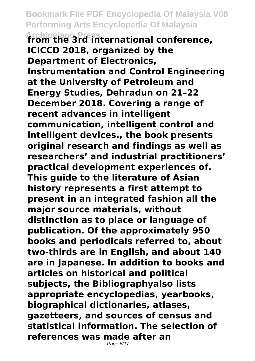**Archipelago Press from the 3rd international conference, ICICCD 2018, organized by the Department of Electronics, Instrumentation and Control Engineering at the University of Petroleum and Energy Studies, Dehradun on 21–22 December 2018. Covering a range of recent advances in intelligent communication, intelligent control and intelligent devices., the book presents original research and findings as well as researchers' and industrial practitioners' practical development experiences of. This guide to the literature of Asian history represents a first attempt to present in an integrated fashion all the major source materials, without distinction as to place or language of publication. Of the approximately 950 books and periodicals referred to, about two-thirds are in English, and about 140 are in Japanese. In addition to books and articles on historical and political subjects, the Bibliographyalso lists appropriate encyclopedias, yearbooks, biographical dictionaries, atlases, gazetteers, and sources of census and statistical information. The selection of references was made after an**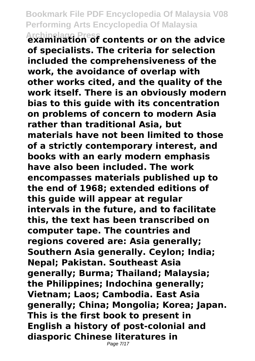**Archipelago Press examination of contents or on the advice of specialists. The criteria for selection included the comprehensiveness of the work, the avoidance of overlap with other works cited, and the quality of the work itself. There is an obviously modern bias to this guide with its concentration on problems of concern to modern Asia rather than traditional Asia, but materials have not been limited to those of a strictly contemporary interest, and books with an early modern emphasis have also been included. The work encompasses materials published up to the end of 1968; extended editions of this guide will appear at regular intervals in the future, and to facilitate this, the text has been transcribed on computer tape. The countries and regions covered are: Asia generally; Southern Asia generally. Ceylon; India; Nepal; Pakistan. Southeast Asia generally; Burma; Thailand; Malaysia; the Philippines; Indochina generally; Vietnam; Laos; Cambodia. East Asia generally; China; Mongolia; Korea; Japan. This is the first book to present in English a history of post-colonial and diasporic Chinese literatures in**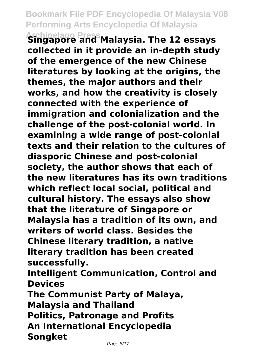**Archipelago Press Singapore and Malaysia. The 12 essays collected in it provide an in-depth study of the emergence of the new Chinese literatures by looking at the origins, the themes, the major authors and their works, and how the creativity is closely connected with the experience of immigration and colonialization and the challenge of the post-colonial world. In examining a wide range of post-colonial texts and their relation to the cultures of diasporic Chinese and post-colonial society, the author shows that each of the new literatures has its own traditions which reflect local social, political and cultural history. The essays also show that the literature of Singapore or Malaysia has a tradition of its own, and writers of world class. Besides the Chinese literary tradition, a native literary tradition has been created successfully.**

**Intelligent Communication, Control and Devices**

**The Communist Party of Malaya, Malaysia and Thailand Politics, Patronage and Profits An International Encyclopedia Songket**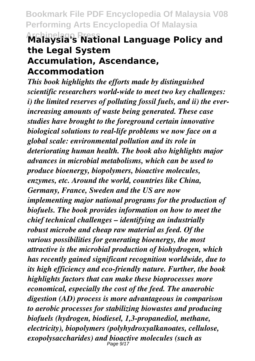#### **Archipelago Press Malaysia's National Language Policy and the Legal System Accumulation, Ascendance, Accommodation**

*This book highlights the efforts made by distinguished scientific researchers world-wide to meet two key challenges: i) the limited reserves of polluting fossil fuels, and ii) the everincreasing amounts of waste being generated. These case studies have brought to the foreground certain innovative biological solutions to real-life problems we now face on a global scale: environmental pollution and its role in deteriorating human health. The book also highlights major advances in microbial metabolisms, which can be used to produce bioenergy, biopolymers, bioactive molecules, enzymes, etc. Around the world, countries like China, Germany, France, Sweden and the US are now implementing major national programs for the production of biofuels. The book provides information on how to meet the chief technical challenges – identifying an industrially robust microbe and cheap raw material as feed. Of the various possibilities for generating bioenergy, the most attractive is the microbial production of biohydrogen, which has recently gained significant recognition worldwide, due to its high efficiency and eco-friendly nature. Further, the book highlights factors that can make these bioprocesses more economical, especially the cost of the feed. The anaerobic digestion (AD) process is more advantageous in comparison to aerobic processes for stabilizing biowastes and producing biofuels (hydrogen, biodiesel, 1,3-propanediol, methane, electricity), biopolymers (polyhydroxyalkanoates, cellulose, exopolysaccharides) and bioactive molecules (such as* Page 9/17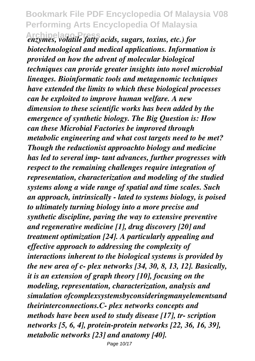**Archipelago Press** *enzymes, volatile fatty acids, sugars, toxins, etc.) for biotechnological and medical applications. Information is provided on how the advent of molecular biological techniques can provide greater insights into novel microbial lineages. Bioinformatic tools and metagenomic techniques have extended the limits to which these biological processes can be exploited to improve human welfare. A new dimension to these scientific works has been added by the emergence of synthetic biology. The Big Question is: How can these Microbial Factories be improved through metabolic engineering and what cost targets need to be met? Though the reductionist approachto biology and medicine has led to several imp- tant advances, further progresses with respect to the remaining challenges require integration of representation, characterization and modeling of the studied systems along a wide range of spatial and time scales. Such an approach, intrinsically - lated to systems biology, is poised to ultimately turning biology into a more precise and synthetic discipline, paving the way to extensive preventive and regenerative medicine [1], drug discovery [20] and treatment optimization [24]. A particularly appealing and effective approach to addressing the complexity of interactions inherent to the biological systems is provided by the new area of c- plex networks [34, 30, 8, 13, 12]. Basically, it is an extension of graph theory [10], focusing on the modeling, representation, characterization, analysis and simulation ofcomplexsystemsbyconsideringmanyelementsand theirinterconnections.C- plex networks concepts and methods have been used to study disease [17], tr- scription networks [5, 6, 4], protein-protein networks [22, 36, 16, 39], metabolic networks [23] and anatomy [40].*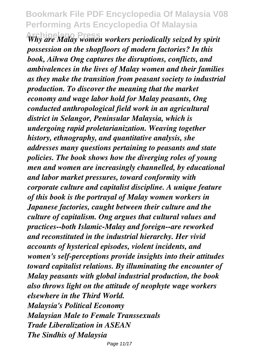**Archipelago Press** *Why are Malay women workers periodically seized by spirit possession on the shopfloors of modern factories? In this book, Aihwa Ong captures the disruptions, conflicts, and ambivalences in the lives of Malay women and their families as they make the transition from peasant society to industrial production. To discover the meaning that the market economy and wage labor hold for Malay peasants, Ong conducted anthropological field work in an agricultural district in Selangor, Peninsular Malaysia, which is undergoing rapid proletarianization. Weaving together history, ethnography, and quantitative analysis, she addresses many questions pertaining to peasants and state policies. The book shows how the diverging roles of young men and women are increasingly channelled, by educational and labor market pressures, toward conformity with corporate culture and capitalist discipline. A unique feature of this book is the portrayal of Malay women workers in Japanese factories, caught between their culture and the culture of capitalism. Ong argues that cultural values and practices--both Islamic-Malay and foreign--are reworked and reconstituted in the industrial hierarchy. Her vivid accounts of hysterical episodes, violent incidents, and women's self-perceptions provide insights into their attitudes toward capitalist relations. By illuminating the encounter of Malay peasants with global industrial production, the book also throws light on the attitude of neophyte wage workers elsewhere in the Third World. Malaysia's Political Economy Malaysian Male to Female Transsexuals Trade Liberalization in ASEAN The Sindhis of Malaysia*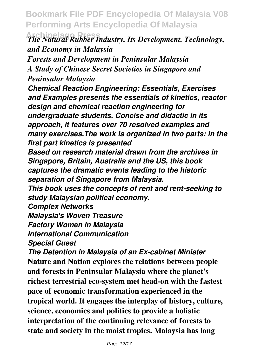**Archipelago Press** *The Natural Rubber Industry, Its Development, Technology, and Economy in Malaysia*

*Forests and Development in Peninsular Malaysia A Study of Chinese Secret Societies in Singapore and Peninsular Malaysia*

*Chemical Reaction Engineering: Essentials, Exercises and Examples presents the essentials of kinetics, reactor design and chemical reaction engineering for undergraduate students. Concise and didactic in its approach, it features over 70 resolved examples and many exercises.The work is organized in two parts: in the first part kinetics is presented*

*Based on research material drawn from the archives in Singapore, Britain, Australia and the US, this book captures the dramatic events leading to the historic separation of Singapore from Malaysia.*

*This book uses the concepts of rent and rent-seeking to study Malaysian political economy.*

*Complex Networks*

*Malaysia's Woven Treasure*

*Factory Women in Malaysia*

*International Communication*

*Special Guest*

*The Detention in Malaysia of an Ex-cabinet Minister* **Nature and Nation explores the relations between people and forests in Peninsular Malaysia where the planet's richest terrestrial eco-system met head-on with the fastest pace of economic transformation experienced in the tropical world. It engages the interplay of history, culture, science, economics and politics to provide a holistic interpretation of the continuing relevance of forests to state and society in the moist tropics. Malaysia has long**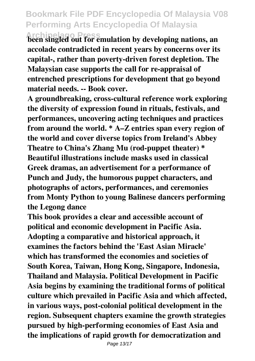**Archipelago Press been singled out for emulation by developing nations, an accolade contradicted in recent years by concerns over its capital-, rather than poverty-driven forest depletion. The Malaysian case supports the call for re-appraisal of entrenched prescriptions for development that go beyond material needs. -- Book cover.**

**A groundbreaking, cross-cultural reference work exploring the diversity of expression found in rituals, festivals, and performances, uncovering acting techniques and practices from around the world. \* A–Z entries span every region of the world and cover diverse topics from Ireland's Abbey Theatre to China's Zhang Mu (rod-puppet theater) \* Beautiful illustrations include masks used in classical Greek dramas, an advertisement for a performance of Punch and Judy, the humorous puppet characters, and photographs of actors, performances, and ceremonies from Monty Python to young Balinese dancers performing the Legong dance**

**This book provides a clear and accessible account of political and economic development in Pacific Asia. Adopting a comparative and historical approach, it examines the factors behind the 'East Asian Miracle' which has transformed the economies and societies of South Korea, Taiwan, Hong Kong, Singapore, Indonesia, Thailand and Malaysia. Political Development in Pacific Asia begins by examining the traditional forms of political culture which prevailed in Pacific Asia and which affected, in various ways, post-colonial political development in the region. Subsequent chapters examine the growth strategies pursued by high-performing economies of East Asia and the implications of rapid growth for democratization and**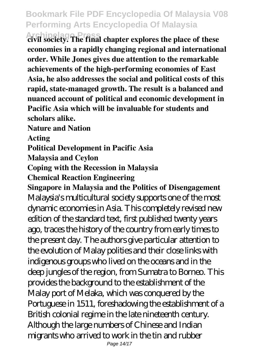**Archipelago Press civil society. The final chapter explores the place of these economies in a rapidly changing regional and international order. While Jones gives due attention to the remarkable achievements of the high-performing economies of East Asia, he also addresses the social and political costs of this rapid, state-managed growth. The result is a balanced and nuanced account of political and economic development in Pacific Asia which will be invaluable for students and scholars alike.**

**Nature and Nation**

**Acting**

**Political Development in Pacific Asia**

**Malaysia and Ceylon**

**Coping with the Recession in Malaysia**

**Chemical Reaction Engineering**

**Singapore in Malaysia and the Politics of Disengagement** Malaysia's multicultural society supports one of the most dynamic economies in Asia. This completely revised new edition of the standard text, first published twenty years ago, traces the history of the country from early times to the present day. The authors give particular attention to the evolution of Malay polities and their close links with indigenous groups who lived on the oceans and in the deep jungles of the region, from Sumatra to Borneo. This provides the background to the establishment of the Malay port of Melaka, which was conquered by the Portuguese in 1511, foreshadowing the establishment of a British colonial regime in the late nineteenth century. Although the large numbers of Chinese and Indian migrants who arrived to work in the tin and rubber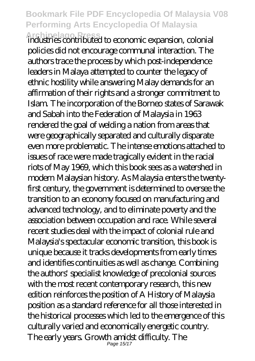**Archipelago Press** industries contributed to economic expansion, colonial policies did not encourage communal interaction. The authors trace the process by which post-independence leaders in Malaya attempted to counter the legacy of ethnic hostility while answering Malay demands for an affirmation of their rights and a stronger commitment to Islam. The incorporation of the Borneo states of Sarawak and Sabah into the Federation of Malaysia in 1963 rendered the goal of welding a nation from areas that were geographically separated and culturally disparate even more problematic. The intense emotions attached to issues of race were made tragically evident in the racial riots of May 1969, which this book sees as a watershed in modern Malaysian history. As Malaysia enters the twentyfirst century, the government is determined to oversee the transition to an economy focused on manufacturing and advanced technology, and to eliminate poverty and the association between occupation and race. While several recent studies deal with the impact of colonial rule and Malaysia's spectacular economic transition, this book is unique because it tracks developments from early times and identifies continuities as well as change. Combining the authors' specialist knowledge of precolonial sources with the most recent contemporary research, this new edition reinforces the position of A History of Malaysia position as a standard reference for all those interested in the historical processes which led to the emergence of this culturally varied and economically energetic country. The early years. Growth amidst difficulty. The Page 15/17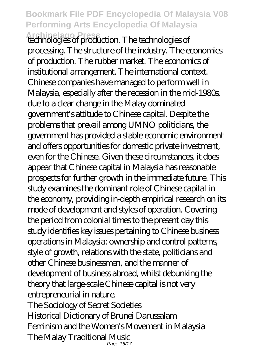**Archipelago Press** technologies of production. The technologies of processing. The structure of the industry. The economics of production. The rubber market. The economics of institutional arrangement. The international context. Chinese companies have managed to perform well in Malaysia, especially after the recession in the mid-1980s, due to a clear change in the Malay dominated government's attitude to Chinese capital. Despite the problems that prevail among UMNO politicians, the government has provided a stable economic environment and offers opportunities for domestic private investment, even for the Chinese. Given these circumstances, it does appear that Chinese capital in Malaysia has reasonable prospects for further growth in the immediate future. This study examines the dominant role of Chinese capital in the economy, providing in-depth empirical research on its mode of development and styles of operation. Covering the period from colonial times to the present day this study identifies key issues pertaining to Chinese business operations in Malaysia: ownership and control patterns, style of growth, relations with the state, politicians and other Chinese businessmen, and the manner of development of business abroad, whilst debunking the theory that large-scale Chinese capital is not very entrepreneurial in nature. The Sociology of Secret Societies Historical Dictionary of Brunei Darussalam Feminism and the Women's Movement in Malaysia The Malay Traditional Music Page 16/17